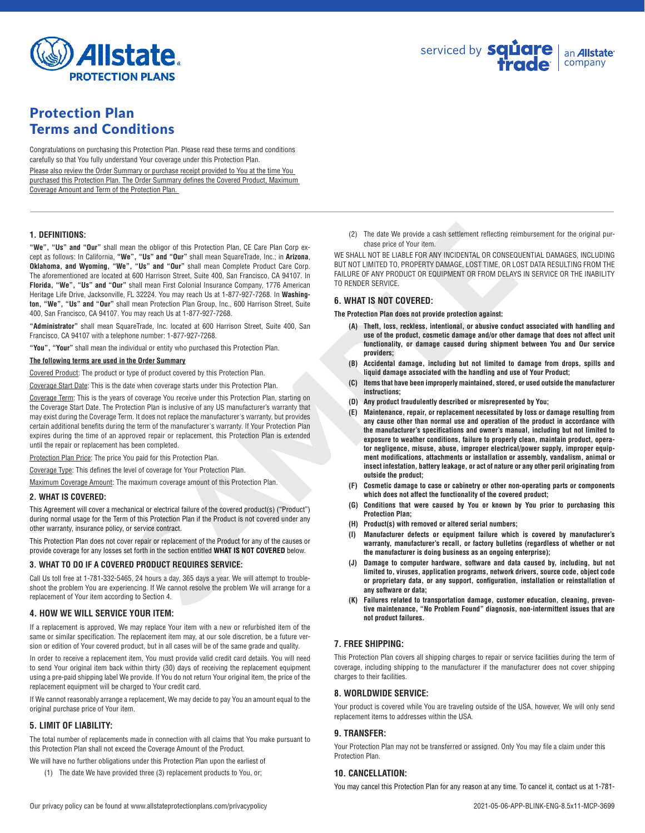

# Protection Plan Terms and Conditions

Congratulations on purchasing this Protection Plan. Please read these terms and conditions carefully so that You fully understand Your coverage under this Protection Plan.

Please also review the Order Summary or purchase receipt provided to You at the time You purchased this Protection Plan. The Order Summary defines the Covered Product, Maximum Coverage Amount and Term of the Protection Plan.

## **1. DEFINITIONS:**

san fite obligor of this Protection Plan. C6 Care Plan Corp e-<br>
Corp (2) The date We provide a cash settement reflecting religion of the Tourism and Courint and Courint and Courint and Courint and Courint and Courint and C **"We", "Us" and "Our"** shall mean the obligor of this Protection Plan, CE Care Plan Corp except as follows: In California, **"We", "Us" and "Our"** shall mean SquareTrade, Inc.; in **Arizona**, **Oklahoma, and Wyoming, "We", "Us" and "Our"** shall mean Complete Product Care Corp. The aforementioned are located at 600 Harrison Street, Suite 400, San Francisco, CA 94107. In **Florida, "We", "Us" and "Our"** shall mean First Colonial Insurance Company, 1776 American Heritage Life Drive, Jacksonville, FL 32224. You may reach Us at 1-877-927-7268. In **Washington, "We", "Us" and "Our"** shall mean Protection Plan Group, Inc., 600 Harrison Street, Suite 400, San Francisco, CA 94107. You may reach Us at 1-877-927-7268.

**"Administrator"** shall mean SquareTrade, Inc. located at 600 Harrison Street, Suite 400, San Francisco, CA 94107 with a telephone number: 1-877-927-7268.

**"You", "Your"** shall mean the individual or entity who purchased this Protection Plan.

#### **The following terms are used in the Order Summary**

Covered Product: The product or type of product covered by this Protection Plan.

Coverage Start Date: This is the date when coverage starts under this Protection Plan.

Coverage Term: This is the years of coverage You receive under this Protection Plan, starting on the Coverage Start Date. The Protection Plan is inclusive of any US manufacturer's warranty that may exist during the Coverage Term. It does not replace the manufacturer's warranty, but provides certain additional benefits during the term of the manufacturer's warranty. If Your Protection Plan expires during the time of an approved repair or replacement, this Protection Plan is extended until the repair or replacement has been completed.

Protection Plan Price: The price You paid for this Protection Plan.

Coverage Type: This defines the level of coverage for Your Protection Plan.

Maximum Coverage Amount: The maximum coverage amount of this Protection Plan.

#### **2. WHAT IS COVERED:**

This Agreement will cover a mechanical or electrical failure of the covered product(s) ("Product") during normal usage for the Term of this Protection Plan if the Product is not covered under any other warranty, insurance policy, or service contract.

This Protection Plan does not cover repair or replacement of the Product for any of the causes or provide coverage for any losses set forth in the section entitled **WHAT IS NOT COVERED** below.

#### **3. WHAT TO DO IF A COVERED PRODUCT REQUIRES SERVICE:**

Call Us toll free at 1-781-332-5465, 24 hours a day, 365 days a year. We will attempt to troubleshoot the problem You are experiencing. If We cannot resolve the problem We will arrange for a replacement of Your item according to Section 4.

#### **4. HOW WE WILL SERVICE YOUR ITEM:**

If a replacement is approved, We may replace Your item with a new or refurbished item of the same or similar specification. The replacement item may, at our sole discretion, be a future version or edition of Your covered product, but in all cases will be of the same grade and quality.

In order to receive a replacement item, You must provide valid credit card details. You will need to send Your original item back within thirty (30) days of receiving the replacement equipment using a pre-paid shipping label We provide. If You do not return Your original item, the price of the replacement equipment will be charged to Your credit card.

If We cannot reasonably arrange a replacement, We may decide to pay You an amount equal to the original purchase price of Your item.

# **5. LIMIT OF LIABILITY:**

The total number of replacements made in connection with all claims that You make pursuant to this Protection Plan shall not exceed the Coverage Amount of the Product.

- We will have no further obligations under this Protection Plan upon the earliest of
	- (1) The date We have provided three (3) replacement products to You, or;

(2) The date We provide a cash settlement reflecting reimbursement for the original purchase price of Your item.

WE SHALL NOT BE LIABLE FOR ANY INCIDENTAL OR CONSEQUENTIAL DAMAGES, INCLUDING BUT NOT LIMITED TO, PROPERTY DAMAGE, LOST TIME, OR LOST DATA RESULTING FROM THE FAILURE OF ANY PRODUCT OR EQUIPMENT OR FROM DELAYS IN SERVICE OR THE INABILITY TO RENDER SERVICE.

## **6. WHAT IS NOT COVERED:**

**The Protection Plan does not provide protection against:**

- **(A) Theft, loss, reckless, intentional, or abusive conduct associated with handling and use of the product, cosmetic damage and/or other damage that does not affect unit functionality, or damage caused during shipment between You and Our service providers;**
- **(B) Accidental damage, including but not limited to damage from drops, spills and liquid damage associated with the handling and use of Your Product;**
- **(C) Items that have been improperly maintained, stored, or used outside the manufacturer instructions;**
- **(D) Any product fraudulently described or misrepresented by You;**
- **(E) Maintenance, repair, or replacement necessitated by loss or damage resulting from any cause other than normal use and operation of the product in accordance with the manufacturer's specifications and owner's manual, including but not limited to exposure to weather conditions, failure to properly clean, maintain product, operator negligence, misuse, abuse, improper electrical/power supply, improper equipment modifications, attachments or installation or assembly, vandalism, animal or insect infestation, battery leakage, or act of nature or any other peril originating from outside the product;**
- **(F) Cosmetic damage to case or cabinetry or other non-operating parts or components which does not affect the functionality of the covered product;**
- **(G) Conditions that were caused by You or known by You prior to purchasing this Protection Plan;**
- **(H) Product(s) with removed or altered serial numbers;**
- **(I) Manufacturer defects or equipment failure which is covered by manufacturer's warranty, manufacturer's recall, or factory bulletins (regardless of whether or not the manufacturer is doing business as an ongoing enterprise);**
- **(J) Damage to computer hardware, software and data caused by, including, but not limited to, viruses, application programs, network drivers, source code, object code or proprietary data, or any support, configuration, installation or reinstallation of any software or data;**
- **(K) Failures related to transportation damage, customer education, cleaning, preventive maintenance, "No Problem Found" diagnosis, non-intermittent issues that are not product failures.**

## **7. FREE SHIPPING:**

This Protection Plan covers all shipping charges to repair or service facilities during the term of coverage, including shipping to the manufacturer if the manufacturer does not cover shipping charges to their facilities.

#### **8. WORLDWIDE SERVICE:**

Your product is covered while You are traveling outside of the USA, however, We will only send replacement items to addresses within the USA.

# **9. TRANSFER:**

Your Protection Plan may not be transferred or assigned. Only You may file a claim under this Protection Plan.

#### **10. CANCELLATION:**

You may cancel this Protection Plan for any reason at any time. To cancel it, contact us at 1-781-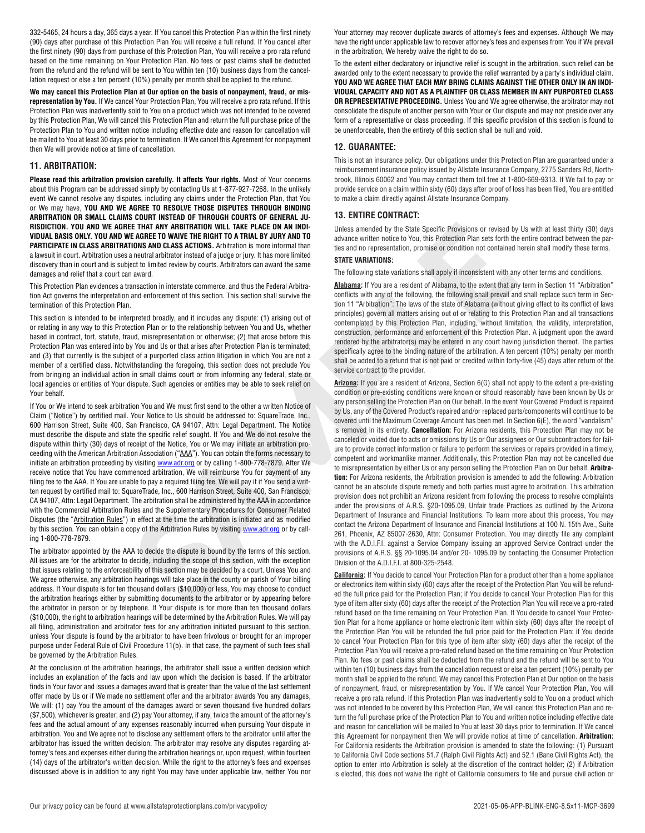332-5465, 24 hours a day, 365 days a year. If You cancel this Protection Plan within the first ninety (90) days after purchase of this Protection Plan You will receive a full refund. If You cancel after the first ninety (90) days from purchase of this Protection Plan, You will receive a pro rata refund based on the time remaining on Your Protection Plan. No fees or past claims shall be deducted from the refund and the refund will be sent to You within ten (10) business days from the cancellation request or else a ten percent (10%) penalty per month shall be applied to the refund.

**We may cancel this Protection Plan at Our option on the basis of nonpayment, fraud, or misrepresentation by You.** If We cancel Your Protection Plan, You will receive a pro rata refund. If this Protection Plan was inadvertently sold to You on a product which was not intended to be covered by this Protection Plan, We will cancel this Protection Plan and return the full purchase price of the Protection Plan to You and written notice including effective date and reason for cancellation will be mailed to You at least 30 days prior to termination. If We cancel this Agreement for nonpayment then We will provide notice at time of cancellation.

# **11. ARBITRATION:**

**Please read this arbitration provision carefully. It affects Your rights.** Most of Your concerns about this Program can be addressed simply by contacting Us at 1-877-927-7268. In the unlikely event We cannot resolve any disputes, including any claims under the Protection Plan, that You or We may have, **YOU AND WE AGREE TO RESOLVE THOSE DISPUTES THROUGH BINDING ARBITRATION OR SMALL CLAIMS COURT INSTEAD OF THROUGH COURTS OF GENERAL JU-RISDICTION. YOU AND WE AGREE THAT ANY ARBITRATION WILL TAKE PLACE ON AN INDI-VIDUAL BASIS ONLY. YOU AND WE AGREE TO WAIVE THE RIGHT TO A TRIAL BY JURY AND TO PARTICIPATE IN CLASS ARBITRATIONS AND CLASS ACTIONS.** Arbitration is more informal than a lawsuit in court. Arbitration uses a neutral arbitrator instead of a judge or jury. It has more limited discovery than in court and is subject to limited review by courts. Arbitrators can award the same damages and relief that a court can award.

This Protection Plan evidences a transaction in interstate commerce, and thus the Federal Arbitration Act governs the interpretation and enforcement of this section. This section shall survive the termination of this Protection Plan.

This section is intended to be interpreted broadly, and it includes any dispute: (1) arising out of or relating in any way to this Protection Plan or to the relationship between You and Us, whether based in contract, tort, statute, fraud, misrepresentation or otherwise; (2) that arose before this Protection Plan was entered into by You and Us or that arises after Protection Plan is terminated; and (3) that currently is the subject of a purported class action litigation in which You are not a member of a certified class. Notwithstanding the foregoing, this section does not preclude You from bringing an individual action in small claims court or from informing any federal, state or local agencies or entities of Your dispute. Such agencies or entities may be able to seek relief on Your behalf.

If You or We intend to seek arbitration You and We must first send to the other a written Notice of Claim ("Notice") by certified mail. Your Notice to Us should be addressed to: SquareTrade, Inc., 600 Harrison Street, Suite 400, San Francisco, CA 94107, Attn: Legal Department. The Notice must describe the dispute and state the specific relief sought. If You and We do not resolve the dispute within thirty (30) days of receipt of the Notice, You or We may initiate an arbitration proceeding with the American Arbitration Association ("AAA"). You can obtain the forms necessary to initiate an arbitration proceeding by visiting **www.adr.org** or by calling 1-800-778-7879. After We receive notice that You have commenced arbitration, We will reimburse You for payment of any filing fee to the AAA. If You are unable to pay a required filing fee, We will pay it if You send a written request by certified mail to: SquareTrade, Inc., 600 Harrison Street, Suite 400, San Francisco, CA 94107. Attn: Legal Department. The arbitration shall be administered by the AAA in accordance with the Commercial Arbitration Rules and the Supplementary Procedures for Consumer Related Disputes (the "Arbitration Rules") in effect at the time the arbitration is initiated and as modified by this section. You can obtain a copy of the Arbitration Rules by visiting www.adr.org or by calling 1-800-778-7879.

The arbitrator appointed by the AAA to decide the dispute is bound by the terms of this section. All issues are for the arbitrator to decide, including the scope of this section, with the exception that issues relating to the enforceability of this section may be decided by a court. Unless You and We agree otherwise, any arbitration hearings will take place in the county or parish of Your billing address. If Your dispute is for ten thousand dollars (\$10,000) or less, You may choose to conduct the arbitration hearings either by submitting documents to the arbitrator or by appearing before the arbitrator in person or by telephone. If Your dispute is for more than ten thousand dollars (\$10,000), the right to arbitration hearings will be determined by the Arbitration Rules. We will pay all filing, administration and arbitrator fees for any arbitration initiated pursuant to this section, unless Your dispute is found by the arbitrator to have been frivolous or brought for an improper purpose under Federal Rule of Civil Procedure 11(b). In that case, the payment of such fees shall be governed by the Arbitration Rules.

At the conclusion of the arbitration hearings, the arbitrator shall issue a written decision which includes an explanation of the facts and law upon which the decision is based. If the arbitrator finds in Your favor and issues a damages award that is greater than the value of the last settlement offer made by Us or if We made no settlement offer and the arbitrator awards You any damages, We will: (1) pay You the amount of the damages award or seven thousand five hundred dollars (\$7,500), whichever is greater; and (2) pay Your attorney, if any, twice the amount of the attorney's fees and the actual amount of any expenses reasonably incurred when pursuing Your dispute in arbitration. You and We agree not to disclose any settlement offers to the arbitrator until after the arbitrator has issued the written decision. The arbitrator may resolve any disputes regarding attorney's fees and expenses either during the arbitration hearings or, upon request, within fourteen (14) days of the arbitrator's written decision. While the right to the attorney's fees and expenses discussed above is in addition to any right You may have under applicable law, neither You nor Your attorney may recover duplicate awards of attorney's fees and expenses. Although We may have the right under applicable law to recover attorney's fees and expenses from You if We prevail in the arbitration, We hereby waive the right to do so.

To the extent either declaratory or injunctive relief is sought in the arbitration, such relief can be awarded only to the extent necessary to provide the relief warranted by a party's individual claim. **YOU AND WE AGREE THAT EACH MAY BRING CLAIMS AGAINST THE OTHER ONLY IN AN INDI-VIDUAL CAPACITY AND NOT AS A PLAINTIFF OR CLASS MEMBER IN ANY PURPORTED CLASS OR REPRESENTATIVE PROCEEDING.** Unless You and We agree otherwise, the arbitrator may not consolidate the dispute of another person with Your or Our dispute and may not preside over any form of a representative or class proceeding. If this specific provision of this section is found to be unenforceable, then the entirety of this section shall be null and void.

# **12. GUARANTEE:**

This is not an insurance policy. Our obligations under this Protection Plan are guaranteed under a reimbursement insurance policy issued by Allstate Insurance Company, 2775 Sanders Rd, Northbrook, Illinois 60062 and You may contact them toll free at 1-800-669-9313. If We fail to pay or provide service on a claim within sixty (60) days after proof of loss has been filed, You are entitled to make a claim directly against Allstate Insurance Company.

## **13. ENTIRE CONTRACT:**

Unless amended by the State Specific Provisions or revised by Us with at least thirty (30) days advance written notice to You, this Protection Plan sets forth the entire contract between the parties and no representation, promise or condition not contained herein shall modify these terms.

#### **STATE VARIATIONS:**

The following state variations shall apply if inconsistent with any other terms and conditions.

**Alabama:** If You are a resident of Alabama, to the extent that any term in Section 11 "Arbitration" conflicts with any of the following, the following shall prevail and shall replace such term in Section 11 "Arbitration": The laws of the state of Alabama (without giving effect to its conflict of laws principles) govern all matters arising out of or relating to this Protection Plan and all transactions contemplated by this Protection Plan, including, without limitation, the validity, interpretation, construction, performance and enforcement of this Protection Plan. A judgment upon the award rendered by the arbitrator(s) may be entered in any court having jurisdiction thereof. The parties specifically agree to the binding nature of the arbitration. A ten percent (10%) penalty per month shall be added to a refund that is not paid or credited within forty-five (45) days after return of the service contract to the provider.

**EE THAT ARY ARBITRATION WILL TAKE PLACE ON AN IRON - Unless amended by the Stark Specific Provisions or method to the SMS Specific Provisions of the Norman Control of the SMS Specific Provisions of the NAT ARBITRATION CH Arizona:** If you are a resident of Arizona, Section 6(G) shall not apply to the extent a pre-existing condition or pre-existing conditions were known or should reasonably have been known by Us or any person selling the Protection Plan on Our behalf. In the event Your Covered Product is repaired by Us, any of the Covered Product's repaired and/or replaced parts/components will continue to be covered until the Maximum Coverage Amount has been met. In Section 6(E), the word "vandalism" is removed in its entirety. **Cancellation:** For Arizona residents, this Protection Plan may not be canceled or voided due to acts or omissions by Us or Our assignees or Our subcontractors for failure to provide correct information or failure to perform the services or repairs provided in a timely, competent and workmanlike manner. Additionally, this Protection Plan may not be cancelled due to misrepresentation by either Us or any person selling the Protection Plan on Our behalf. **Arbitration:** For Arizona residents, the Arbitration provision is amended to add the following: Arbitration cannot be an absolute dispute remedy and both parties must agree to arbitration. This arbitration provision does not prohibit an Arizona resident from following the process to resolve complaints under the provisions of A.R.S. §20-1095.09, Unfair trade Practices as outlined by the Arizona Department of Insurance and Financial Institutions. To learn more about this process, You may contact the Arizona Department of Insurance and Financial Institutions at 100 N. 15th Ave., Suite 261, Phoenix, AZ 85007-2630, Attn: Consumer Protection. You may directly file any complaint with the A.D.I.F.I. against a Service Company issuing an approved Service Contract under the provisions of A.R.S. §§ 20-1095.04 and/or 20- 1095.09 by contacting the Consumer Protection Division of the A.D.I.F.I. at 800-325-2548.

**California:** If You decide to cancel Your Protection Plan for a product other than a home appliance or electronics item within sixty (60) days after the receipt of the Protection Plan You will be refunded the full price paid for the Protection Plan; if You decide to cancel Your Protection Plan for this type of item after sixty (60) days after the receipt of the Protection Plan You will receive a pro-rated refund based on the time remaining on Your Protection Plan. If You decide to cancel Your Protection Plan for a home appliance or home electronic item within sixty (60) days after the receipt of the Protection Plan You will be refunded the full price paid for the Protection Plan; if You decide to cancel Your Protection Plan for this type of item after sixty (60) days after the receipt of the Protection Plan You will receive a pro-rated refund based on the time remaining on Your Protection Plan. No fees or past claims shall be deducted from the refund and the refund will be sent to You within ten (10) business days from the cancellation request or else a ten percent (10%) penalty per month shall be applied to the refund. We may cancel this Protection Plan at Our option on the basis of nonpayment, fraud, or misrepresentation by You. If We cancel Your Protection Plan, You will receive a pro rata refund. If this Protection Plan was inadvertently sold to You on a product which was not intended to be covered by this Protection Plan, We will cancel this Protection Plan and return the full purchase price of the Protection Plan to You and written notice including effective date and reason for cancellation will be mailed to You at least 30 days prior to termination. If We cancel this Agreement for nonpayment then We will provide notice at time of cancellation. **Arbitration:** For California residents the Arbitration provision is amended to state the following: (1) Pursuant to California Civil Code sections 51.7 (Ralph Civil Rights Act) and 52.1 (Bane Civil Rights Act), the option to enter into Arbitration is solely at the discretion of the contract holder; (2) if Arbitration is elected, this does not waive the right of California consumers to file and pursue civil action or